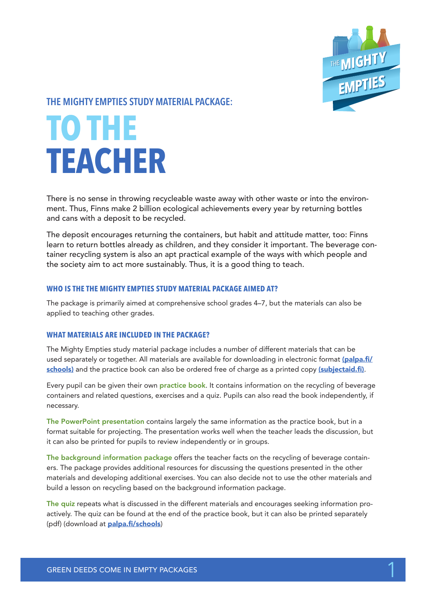

## **THE MIGHTY EMPTIES STUDY MATERIAL PACKAGE:**

# **TO THE TEACHER**

There is no sense in throwing recycleable waste away with other waste or into the environment. Thus, Finns make 2 billion ecological achievements every year by returning bottles and cans with a deposit to be recycled.

The deposit encourages returning the containers, but habit and attitude matter, too: Finns learn to return bottles already as children, and they consider it important. The beverage container recycling system is also an apt practical example of the ways with which people and the society aim to act more sustainably. Thus, it is a good thing to teach.

### **WHO IS THE THE MIGHTY EMPTIES STUDY MATERIAL PACKAGE AIMED AT?**

The package is primarily aimed at comprehensive school grades 4–7, but the materials can also be applied to teaching other grades.

### **WHAT MATERIALS ARE INCLUDED IN THE PACKAGE?**

The Mighty Empties study material package includes a number of different materials that can be used separately or together. All materials are available for downloading in electronic format (palpa.fi/ schools) and the practice book can also be ordered free of charge as a printed copy (subjectaid.fi).

Every pupil can be given their own **practice book**. It contains information on the recycling of beverage containers and related questions, exercises and a quiz. Pupils can also read the book independently, if necessary.

The PowerPoint presentation contains largely the same information as the practice book, but in a format suitable for projecting. The presentation works well when the teacher leads the discussion, but it can also be printed for pupils to review independently or in groups.

The background information package offers the teacher facts on the recycling of beverage containers. The package provides additional resources for discussing the questions presented in the other materials and developing additional exercises. You can also decide not to use the other materials and build a lesson on recycling based on the background information package.

The quiz repeats what is discussed in the different materials and encourages seeking information proactively. The quiz can be found at the end of the practice book, but it can also be printed separately (pdf) (download at **palpa.fi/schools)**